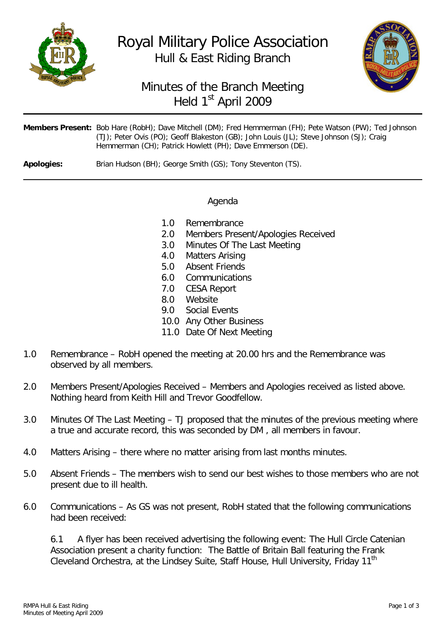

Royal Military Police Association Hull & East Riding Branch



## Minutes of the Branch Meeting Held 1<sup>st</sup> April 2009

| Members Present: Bob Hare (RobH); Dave Mitchell (DM); Fred Hemmerman (FH); Pete Watson (PW); Ted Johnson                                             |
|------------------------------------------------------------------------------------------------------------------------------------------------------|
| (TJ); Peter Ovis (PO); Geoff Blakeston (GB); John Louis (JL); Steve Johnson (SJ); Craig<br>Hemmerman (CH); Patrick Howlett (PH); Dave Emmerson (DE). |
|                                                                                                                                                      |

**Apologies:** Brian Hudson (BH); George Smith (GS); Tony Steventon (TS).

## Agenda

- 1.0 Remembrance
- 2.0 Members Present/Apologies Received
- 3.0 Minutes Of The Last Meeting
- 4.0 Matters Arising
- 5.0 Absent Friends
- 6.0 Communications
- 7.0 CESA Report
- 8.0 Website<br>9.0 Social Fy
- Social Events
- 10.0 Any Other Business
- 11.0 Date Of Next Meeting
- 1.0 Remembrance RobH opened the meeting at 20.00 hrs and the Remembrance was observed by all members.
- 2.0 Members Present/Apologies Received Members and Apologies received as listed above. Nothing heard from Keith Hill and Trevor Goodfellow.
- 3.0 Minutes Of The Last Meeting TJ proposed that the minutes of the previous meeting where a true and accurate record, this was seconded by DM , all members in favour.
- 4.0 Matters Arising there where no matter arising from last months minutes.
- 5.0 Absent Friends The members wish to send our best wishes to those members who are not present due to ill health.
- 6.0 Communications As GS was not present, RobH stated that the following communications had been received:

6.1 A flyer has been received advertising the following event: The Hull Circle Catenian Association present a charity function: The Battle of Britain Ball featuring the Frank Cleveland Orchestra, at the Lindsey Suite, Staff House, Hull University, Friday 11<sup>th</sup>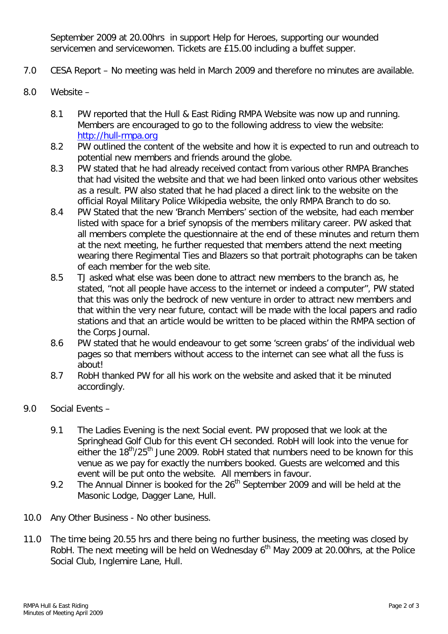September 2009 at 20.00hrs in support Help for Heroes, supporting our wounded servicemen and servicewomen. Tickets are £15.00 including a buffet supper.

- 7.0 CESA Report No meeting was held in March 2009 and therefore no minutes are available.
- 8.0 Website
	- 8.1 PW reported that the Hull & East Riding RMPA Website was now up and running. Members are encouraged to go to the following address to view the website: [http://hull-rmpa.org](http://hull-rmpa.org/)
	- 8.2 PW outlined the content of the website and how it is expected to run and outreach to potential new members and friends around the globe.
	- 8.3 PW stated that he had already received contact from various other RMPA Branches that had visited the website and that we had been linked onto various other websites as a result. PW also stated that he had placed a direct link to the website on the official Royal Military Police Wikipedia website, the only RMPA Branch to do so.
	- 8.4 PW Stated that the new 'Branch Members' section of the website, had each member listed with space for a brief synopsis of the members military career. PW asked that all members complete the questionnaire at the end of these minutes and return them at the next meeting, he further requested that members attend the next meeting wearing there Regimental Ties and Blazers so that portrait photographs can be taken of each member for the web site.
	- 8.5 TJ asked what else was been done to attract new members to the branch as, he stated, "not all people have access to the internet or indeed a computer", PW stated that this was only the bedrock of new venture in order to attract new members and that within the very near future, contact will be made with the local papers and radio stations and that an article would be written to be placed within the RMPA section of the Corps Journal.
	- 8.6 PW stated that he would endeavour to get some 'screen grabs' of the individual web pages so that members without access to the internet can see what all the fuss is about!
	- 8.7 RobH thanked PW for all his work on the website and asked that it be minuted accordingly.
- 9.0 Social Events
	- 9.1 The Ladies Evening is the next Social event. PW proposed that we look at the Springhead Golf Club for this event CH seconded. RobH will look into the venue for either the 18<sup>th</sup>/25<sup>th</sup> June 2009. RobH stated that numbers need to be known for this venue as we pay for exactly the numbers booked. Guests are welcomed and this event will be put onto the website. All members in favour.
	- 9.2 The Annual Dinner is booked for the  $26<sup>th</sup>$  September 2009 and will be held at the Masonic Lodge, Dagger Lane, Hull.
- 10.0 Any Other Business No other business.
- 11.0 The time being 20.55 hrs and there being no further business, the meeting was closed by RobH. The next meeting will be held on Wednesday  $6<sup>th</sup>$  May 2009 at 20.00 hrs, at the Police Social Club, Inglemire Lane, Hull.